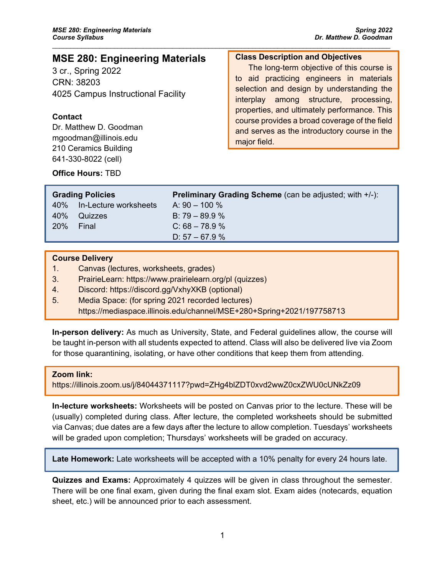# **MSE 280: Engineering Materials**

3 cr., Spring 2022 CRN: 38203 4025 Campus Instructional Facility

## **Contact**

Dr. Matthew D. Goodman mgoodman@illinois.edu 210 Ceramics Building 641-330-8022 (cell)

## **Class Description and Objectives**

The long-term objective of this course is to aid practicing engineers in materials selection and design by understanding the interplay among structure, processing, properties, and ultimately performance. This course provides a broad coverage of the field and serves as the introductory course in the major field.

## **Office Hours:** TBD

| <b>Grading Policies</b> |                           | <b>Preliminary Grading Scheme</b> (can be adjusted; with +/-): |
|-------------------------|---------------------------|----------------------------------------------------------------|
|                         | 40% In-Lecture worksheets | A: $90 - 100 \%$                                               |
| 40%                     | Quizzes                   | B: $79 - 89.9 \%$                                              |
| <b>20%</b>              | - Final                   | $C: 68 - 78.9 %$                                               |
|                         |                           | D: $57 - 67.9$ %                                               |
|                         |                           |                                                                |

 $\_$  ,  $\_$  ,  $\_$  ,  $\_$  ,  $\_$  ,  $\_$  ,  $\_$  ,  $\_$  ,  $\_$  ,  $\_$  ,  $\_$  ,  $\_$  ,  $\_$  ,  $\_$  ,  $\_$  ,  $\_$  ,  $\_$  ,  $\_$  ,  $\_$  ,  $\_$  ,  $\_$  ,  $\_$  ,  $\_$  ,  $\_$  ,  $\_$  ,  $\_$  ,  $\_$  ,  $\_$  ,  $\_$  ,  $\_$  ,  $\_$  ,  $\_$  ,  $\_$  ,  $\_$  ,  $\_$  ,  $\_$  ,  $\_$  ,

### **Course Delivery**

- 1. Canvas (lectures, worksheets, grades)
- 3. PrairieLearn: https://www.prairielearn.org/pl (quizzes)
- 4. Discord: https://discord.gg/VxhyXKB (optional)
- 5. Media Space: (for spring 2021 recorded lectures) https://mediaspace.illinois.edu/channel/MSE+280+Spring+2021/197758713

**In-person delivery:** As much as University, State, and Federal guidelines allow, the course will be taught in-person with all students expected to attend. Class will also be delivered live via Zoom for those quarantining, isolating, or have other conditions that keep them from attending.

#### **Zoom link:**

https://illinois.zoom.us/j/84044371117?pwd=ZHg4blZDT0xvd2wwZ0cxZWU0cUNkZz09

**In-lecture worksheets:** Worksheets will be posted on Canvas prior to the lecture. These will be (usually) completed during class. After lecture, the completed worksheets should be submitted via Canvas; due dates are a few days after the lecture to allow completion. Tuesdays' worksheets will be graded upon completion; Thursdays' worksheets will be graded on accuracy.

**Late Homework:** Late worksheets will be accepted with a 10% penalty for every 24 hours late.

**Quizzes and Exams:** Approximately 4 quizzes will be given in class throughout the semester. There will be one final exam, given during the final exam slot. Exam aides (notecards, equation sheet, etc.) will be announced prior to each assessment.